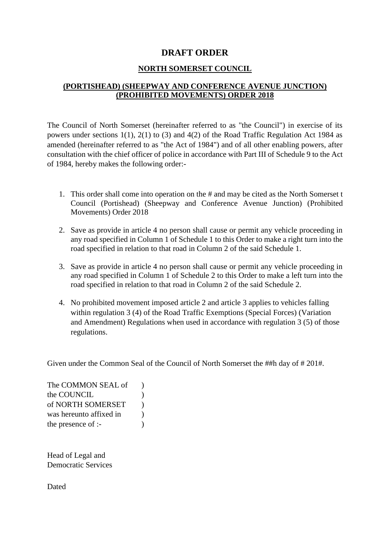#### **DRAFT ORDER**

#### **NORTH SOMERSET COUNCIL**

## **(PORTISHEAD) (SHEEPWAY AND CONFERENCE AVENUE JUNCTION) (PROHIBITED MOVEMENTS) ORDER 2018**

The Council of North Somerset (hereinafter referred to as "the Council") in exercise of its powers under sections 1(1), 2(1) to (3) and 4(2) of the Road Traffic Regulation Act 1984 as amended (hereinafter referred to as "the Act of 1984") and of all other enabling powers, after consultation with the chief officer of police in accordance with Part III of Schedule 9 to the Act of 1984, hereby makes the following order:-

- 1. This order shall come into operation on the # and may be cited as the North Somerset t Council (Portishead) (Sheepway and Conference Avenue Junction) (Prohibited Movements) Order 2018
- 2. Save as provide in article 4 no person shall cause or permit any vehicle proceeding in any road specified in Column 1 of Schedule 1 to this Order to make a right turn into the road specified in relation to that road in Column 2 of the said Schedule 1.
- 3. Save as provide in article 4 no person shall cause or permit any vehicle proceeding in any road specified in Column 1 of Schedule 2 to this Order to make a left turn into the road specified in relation to that road in Column 2 of the said Schedule 2.
- 4. No prohibited movement imposed article 2 and article 3 applies to vehicles falling within regulation 3 (4) of the Road Traffic Exemptions (Special Forces) (Variation and Amendment) Regulations when used in accordance with regulation 3 (5) of those regulations.

Given under the Common Seal of the Council of North Somerset the ##h day of # 201#.

The COMMON SEAL of  $\qquad$ ) the COUNCIL (1) of NORTH SOMERSET ) was hereunto affixed in  $\qquad$ ) the presence of :-

Head of Legal and Democratic Services

Dated